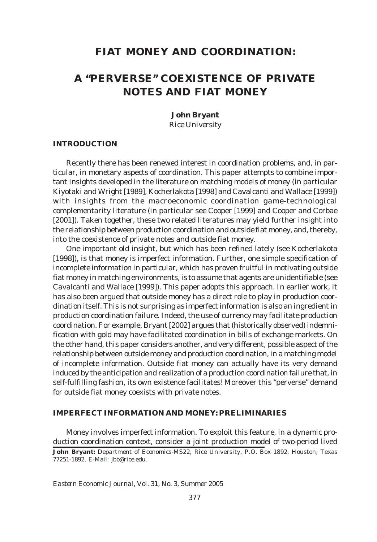# **FIAT MONEY AND COORDINATION:**

# **A "PERVERSE" COEXISTENCE OF PRIVATE NOTES AND FIAT MONEY**

**John Bryant**

*Rice University*

## **INTRODUCTION**

Recently there has been renewed interest in coordination problems, and, in particular, in monetary aspects of coordination. This paper attempts to combine important insights developed in the literature on matching models of money (in particular Kiyotaki and Wright [1989], Kocherlakota [1998] and Cavalcanti and Wallace [1999]) with insights from the macroeconomic coordination game-technological complementarity literature (in particular see Cooper [1999] and Cooper and Corbae [2001]). Taken together, these two related literatures may yield further insight into the relationship between production coordination and outside fiat money, and, thereby, into the coexistence of private notes and outside fiat money.

One important old insight, but which has been refined lately (see Kocherlakota [1998]), is that money is imperfect information. Further, one simple specification of incomplete information in particular, which has proven fruitful in motivating outside fiat money in matching environments, is to assume that agents are unidentifiable (see Cavalcanti and Wallace [1999]). This paper adopts this approach. In earlier work, it has also been argued that outside money has a direct role to play in production coordination itself. This is not surprising as imperfect information is also an ingredient in production coordination failure. Indeed, the use of currency may facilitate production coordination. For example, Bryant [2002] argues that (historically observed) indemnification with gold may have facilitated coordination in bills of exchange markets. On the other hand, this paper considers another, and very different, possible aspect of the relationship between outside money and production coordination, in a matching model of incomplete information. Outside fiat money can actually have its very demand induced by the anticipation and realization of a production coordination failure that, in self-fulfilling fashion, its own existence facilitates! Moreover this "perverse" demand for outside fiat money coexists with private notes.

# **IMPERFECT INFORMATION AND MONEY: PRELIMINARIES**

**John Bryant:** Department of Economics-MS22, Rice University, P.O. Box 1892, Houston, Texas 77251-1892, E-Mail: jbb@rice.edu. Money involves imperfect information. To exploit this feature, in a dynamic production coordination context, consider a joint production model of two-period lived

*Eastern Economic Journal,* Vol. 31, No. 3, Summer 2005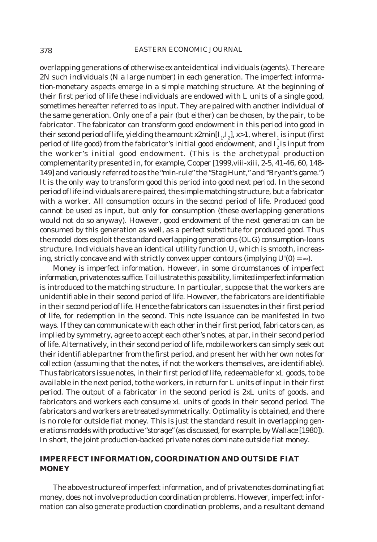overlapping generations of otherwise *ex ante* identical individuals (agents). There are 2*N* such individuals (*N* a large number) in each generation. The imperfect information-monetary aspects emerge in a simple matching structure. At the beginning of their first period of life these individuals are endowed with L units of a single good, sometimes hereafter referred to as input. They are paired with another individual of the same generation. Only one of a pair (but either) can be chosen, by the pair, to be fabricator. The fabricator can transform good endowment in this period into good in their second period of life, yielding the amount  $x2min[I_{1}, I_{2}]$ ,  $x>1$ , where  $I_{1}$  is input (first period of life good) from the fabricator's initial good endowment, and  $I<sub>2</sub>$  is input from the worker's initial good endowment. (This is the archetypal production complementarity presented in, for example, Cooper [1999, viii-xiii, 2-5, 41-46, 60, 148-149] and variously referred to as the "min-rule" the "Stag Hunt," and "Bryant's game.") It is the only way to transform good this period into good next period. In the second period of life individuals are re-paired, the simple matching structure, but a fabricator with a worker. All consumption occurs in the second period of life. Produced good cannot be used as input, but only for consumption (these overlapping generations would not do so anyway). However, good endowment of the next generation can be consumed by this generation as well, as a perfect substitute for produced good. Thus the model does exploit the standard overlapping generations (OLG) consumption-loans structure. Individuals have an identical utility function *U*, which is smooth, increasing, strictly concave and with strictly convex upper contours (implying  $U(0) = \infty$ ).

Money is imperfect information. However, in some circumstances of imperfect information, private notes suffice. To illustrate this possibility, limited imperfect information is introduced to the matching structure. In particular, suppose that the workers are unidentifiable in their second period of life. However, the fabricators are identifiable in their second period of life. Hence the fabricators can issue notes in their first period of life, for redemption in the second. This note issuance can be manifested in two ways. If they can communicate with each other in their first period, fabricators can, as implied by symmetry, agree to accept each other's notes, at par, in their second period of life. Alternatively, in their second period of life, mobile workers can simply seek out their identifiable partner from the first period, and present her with her own notes for collection (assuming that the notes, if not the workers themselves, are identifiable). Thus fabricators issue notes, in their first period of life, redeemable for *xL* goods, to be available in the next period, to the workers, in return for *L* units of input in their first period. The output of a fabricator in the second period is 2*xL* units of goods, and fabricators and workers each consume *xL* units of goods in their second period. The fabricators and workers are treated symmetrically. Optimality is obtained, and there is no role for outside fiat money. This is just the standard result in overlapping generations models with productive "storage" (as discussed, for example, by Wallace [1980]). In short, the joint production-backed private notes dominate outside fiat money.

# **IMPERFECT INFORMATION, COORDINATION AND OUTSIDE FIAT MONEY**

The above structure of imperfect information, and of private notes dominating fiat money, does not involve production coordination problems. However, imperfect information can also generate production coordination problems, and a resultant demand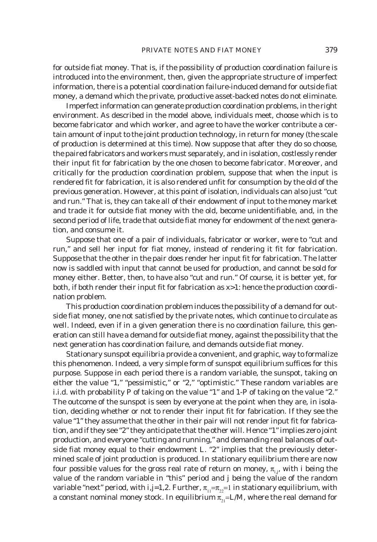for outside fiat money. That is, if the possibility of production coordination failure is introduced into the environment, then, given the appropriate structure of imperfect information, there is a potential coordination failure-induced demand for outside fiat money, a demand which the private, productive asset-backed notes do not eliminate.

Imperfect information can generate production coordination problems, in the right environment. As described in the model above, individuals meet, choose which is to become fabricator and which worker, and agree to have the worker contribute a certain amount of input to the joint production technology, in return for money (the scale of production is determined at this time). Now suppose that after they do so choose, the paired fabricators and workers must separately, and in isolation, costlessly render their input fit for fabrication by the one chosen to become fabricator. Moreover, and critically for the production coordination problem, suppose that when the input is rendered fit for fabrication, it is also rendered unfit for consumption by the old of the previous generation. However, at this point of isolation, individuals can also just "cut and run." That is, they can take all of their endowment of input to the money market and trade it for outside fiat money with the old, become unidentifiable, and, in the second period of life, trade that outside fiat money for endowment of the next generation, and consume it.

Suppose that one of a pair of individuals, fabricator or worker, were to "cut and run," and sell her input for fiat money, instead of rendering it fit for fabrication. Suppose that the other in the pair does render her input fit for fabrication. The latter now is saddled with input that cannot be used for production, and cannot be sold for money either. Better, then, to have also "cut and run." Of course, it is better yet, for both, if both render their input fit for fabrication as x>1: hence the production coordination problem.

This production coordination problem induces the possibility of a demand for outside fiat money, one not satisfied by the private notes, which continue to circulate as well. Indeed, even if in a given generation there is no coordination failure, this generation can still have a demand for outside fiat money, against the possibility that the next generation has coordination failure, and demands outside fiat money.

Stationary sunspot equilibria provide a convenient, and graphic, way to formalize this phenomenon. Indeed, a very simple form of sunspot equilibrium suffices for this purpose. Suppose in each period there is a random variable, the sunspot, taking on either the value "1," "pessimistic," or "2," "optimistic." These random variables are i.i.d. with probability *P* of taking on the value "1" and *1-P* of taking on the value "2." The outcome of the sunspot is seen by everyone at the point when they are, in isolation, deciding whether or not to render their input fit for fabrication. If they see the value "1" they assume that the other in their pair will not render input fit for fabrication, and if they see "2" they anticipate that the other will. Hence "1" implies zero joint production, and everyone "cutting and running," and demanding real balances of outside fiat money equal to their endowment *L*. "2" implies that the previously determined scale of joint production is produced. In stationary equilibrium there are now four possible values for the gross real rate of return on money,  $\pi_{i,j}$ , with *i* being the value of the random variable in "this" period and *j* being the value of the random variable "next" period, with  $i,j=1,2$ . Further,  $\pi_{11}=\pi_{22}=1$  in stationary equilibrium, with a constant nominal money stock. In equilibrium  $\pi_{21} = L/M$ , where the real demand for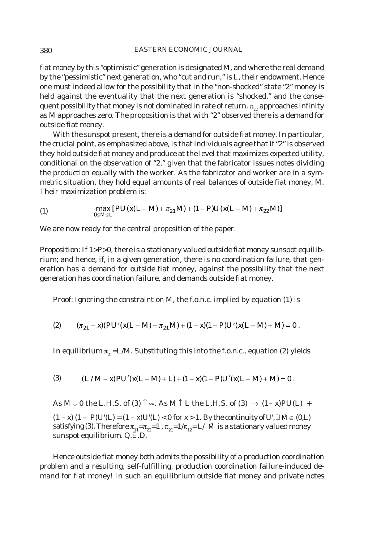#### 380 EASTERN ECONOMIC JOURNAL

fiat money by this "optimistic" generation is designated *M*, and where the real demand by the "pessimistic" next generation, who "cut and run," is *L*, their endowment. Hence one must indeed allow for the possibility that in the "non-shocked" state "2" money is held against the eventuality that the next generation is "shocked," and the consequent possibility that money is not dominated in rate of return.  $\pi_{22}$  approaches infinity as *M* approaches zero. The proposition is that with "2" observed there is a demand for outside fiat money.

With the sunspot present, there is a demand for outside fiat money. In particular, the crucial point, as emphasized above, is that individuals agree that if "2" is observed they hold outside fiat money and produce at the level that maximizes expected utility, conditional on the observation of "2," given that the fabricator issues notes dividing the production equally with the worker. As the fabricator and worker are in a symmetric situation, they hold equal amounts of real balances of outside fiat money, *M*. Their maximization problem is:

(1) 
$$
\max_{0 \le M \le L} [PU(x(L-M) + \pi_{21}M) + (1 - P)U(x(L-M) + \pi_{22}M)]
$$

We are now ready for the central proposition of the paper.

Proposition: If 1>*P*>0, there is a stationary valued outside fiat money sunspot equilibrium; and hence, if, in a given generation, there is no coordination failure, that generation has a demand for outside fiat money, against the possibility that the next generation has coordination failure, and demands outside fiat money.

Proof: Ignoring the constraint on *M*, the f.o.n.c. implied by equation (1) is

(2) 
$$
(\pi_{21} - x)(PU'(x(L-M) + \pi_{21}M) + (1-x)(1-P)U'(x(L-M) + M) = 0.
$$

In equilibrium  $\pi_{21} = L/M$ . Substituting this into the f.o.n.c., equation (2) yields

(3) 
$$
(L/M-x)PU'(x(L-M)+L)+(1-x)(1-P)U'(x(L-M)+M)=0.
$$

As  $M \downarrow 0$  the L.H.S. of (3)  $\uparrow \infty$ . As  $M \uparrow L$  the L.H.S. of (3)  $\rightarrow (1-x)PU(L) +$ 

 $(1 - x)(1 - P)U(L) = (1 - x)U(L)$  < 0 for *x* > 1. By the continuity of *U*, ∃  $\tilde{M}$  ∈ (0, *L*) satisfying (3). Therefore  $\pi_{11} = \pi_{22} = 1$ ,  $\pi_{21} = 1/\pi_{12} = L/M$  is a stationary valued money sunspot equilibrium. Q.E.D.

Hence outside fiat money both admits the possibility of a production coordination problem and a resulting, self-fulfilling, production coordination failure-induced demand for fiat money! In such an equilibrium outside fiat money and private notes